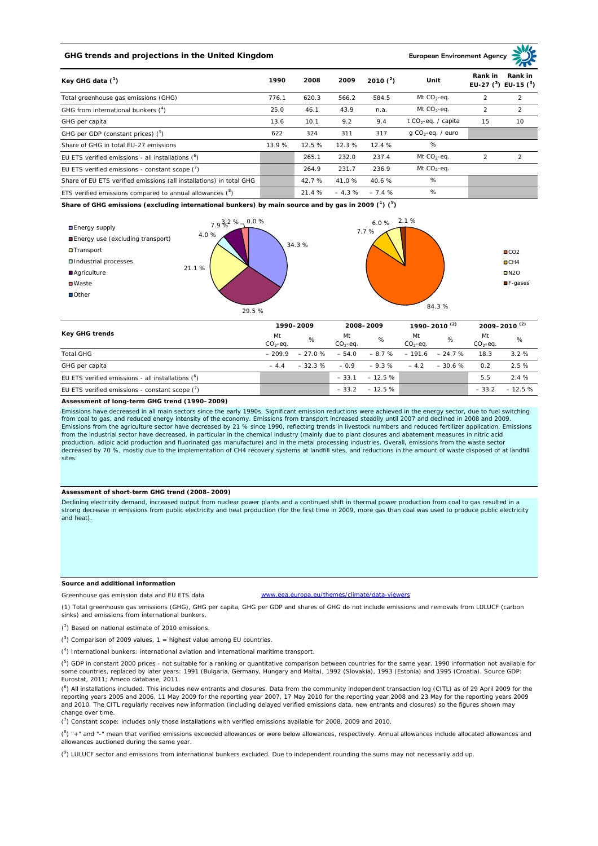# **GHG trends and projections in the United Kingdom**

## **European Environment Age**

| Key GHG data $(^1)$                                                 |       | 2008   | 2009    | 2010 $(^{2})$ | Unit                            | Rank in                   | Rank in       |
|---------------------------------------------------------------------|-------|--------|---------|---------------|---------------------------------|---------------------------|---------------|
|                                                                     |       |        |         |               |                                 | EU-27 $(^3)$ EU-15 $(^3)$ |               |
| Total greenhouse gas emissions (GHG)                                | 776.1 | 620.3  | 566.2   | 584.5         | Mt $CO2$ -eq.                   | $\mathcal{P}$             | 2             |
| GHG from international bunkers $(^4)$                               | 25.0  | 46.1   | 43.9    | n.a.          | Mt $CO_2$ -eq.                  | $\mathcal{P}$             | 2             |
| GHG per capita                                                      | 13.6  | 10.1   | 9.2     | 9.4           | t CO <sub>2</sub> -eq. / capita | 15                        | 10            |
| GHG per GDP (constant prices) $(^5)$                                | 622   | 324    | 311     | 317           | $q$ CO <sub>2</sub> -eq. / euro |                           |               |
| Share of GHG in total EU-27 emissions                               | 13.9% | 12.5 % | 12.3%   | 12.4%         | %                               |                           |               |
| EU ETS verified emissions - all installations (°)                   |       | 265.1  | 232.0   | 237.4         | Mt $CO_2$ -eq.                  | $\mathfrak{D}$            | $\mathcal{P}$ |
| EU ETS verified emissions - constant scope $(7)$                    |       | 264.9  | 231.7   | 236.9         | Mt $CO_2$ -eq.                  |                           |               |
| Share of EU ETS verified emissions (all installations) in total GHG |       | 42.7%  | 41.0%   | 40.6%         | %                               |                           |               |
| ETS verified emissions compared to annual allowances $(^8)$         |       | 21.4 % | $-4.3%$ | $-7.4%$       | %                               |                           |               |

**Share of GHG emissions (excluding international bunkers) by main source and by gas in 2009 (<sup>1</sup> ) (<sup>9</sup> )**



| <b>Key GHG trends</b>                                |                 | 1990-2009 |                 | 2008-2009 |                 | 1990-2010 <sup>(2)</sup> |                 | $2009 - 2010^{(2)}$ |  |
|------------------------------------------------------|-----------------|-----------|-----------------|-----------|-----------------|--------------------------|-----------------|---------------------|--|
|                                                      | Mt<br>$CO2-eq.$ | %         | Mt<br>$CO2-eq.$ | %         | Mt<br>$CO2-ea.$ | %                        | Mt<br>$CO2-eq.$ | %                   |  |
| <b>Total GHG</b>                                     | $-209.9$        | $-27.0%$  | $-54.0$         | $-8.7%$   | $-191.6$        | $-24.7%$                 | 18.3            | 3.2%                |  |
| GHG per capita                                       | $-44$           | $-32.3%$  | $-0.9$          | $-9.3%$   | $-4.2$          | $-30.6%$                 | 0.2             | 2.5%                |  |
| EU ETS verified emissions - all installations $(^6)$ |                 |           | $-33.1$         | $-12.5%$  |                 |                          | 5.5             | 2.4%                |  |
| EU ETS verified emissions - constant scope (')       |                 |           | $-33.2$         | $-12.5%$  |                 |                          | $-33.2$         | $-12.5%$            |  |

#### **Assessment of long-term GHG trend (1990–2009)**

Emissions have decreased in all main sectors since the early 1990s. Significant emission reductions were achieved in the energy sector, due to fuel switching from coal to gas, and reduced energy intensity of the economy. Emissions from transport increased steadily until 2007 and declined in 2008 and 2009. Emissions from the agriculture sector have decreased by 21 % since 1990, reflecting trends in livestock numbers and reduced fertilizer application. Emissions<br>from the industrial sector have decreased, in particular in the production, adipic acid production and fluorinated gas manufacture) and in the metal processing industries. Overall, emissions from the waste sector decreased by 70 %, mostly due to the implementation of CH4 recovery systems at landfill sites, and reductions in the amount of waste disposed of at landfill sites.

#### **Assessment of short-term GHG trend (2008–2009)**

Declining electricity demand, increased output from nuclear power plants and a continued shift in thermal power production from coal to gas resulted in a strong decrease in emissions from public electricity and heat production (for the first time in 2009, more gas than coal was used to produce public electricity and heat).

#### **Source and additional information**

www.eea.europa.eu/themes/climate/data-viewers

(1) Total greenhouse gas emissions (GHG), GHG per capita, GHG per GDP and shares of GHG do not include emissions and removals from LULUCF (carbon sinks) and emissions from international bunkers.

( 2 ) Based on national estimate of 2010 emissions.

Greenhouse gas emission data and EU ETS data

 $(3)$  Comparison of 2009 values, 1 = highest value among EU countries.

( 4 ) International bunkers: international aviation and international maritime transport.

 $(^{5})$  GDP in constant 2000 prices - not suitable for a ranking or quantitative comparison between countries for the same year. 1990 information not available for some countries, replaced by later years: 1991 (Bulgaria, Germany, Hungary and Malta), 1992 (Slovakia), 1993 (Estonia) and 1995 (Croatia). Source GDP: Eurostat, 2011; Ameco database, 2011.

(<sup>6</sup>) All installations included. This includes new entrants and closures. Data from the community independent transaction log (CITL) as of 29 April 2009 for the<br>reporting years 2005 and 2006, 11 May 2009 for the reporting and 2010. The CITL regularly receives new information (including delayed verified emissions data, new entrants and closures) so the figures shown may change over time.

 $\binom{7}{1}$  Constant scope: includes only those installations with verified emissions available for 2008, 2009 and 2010.

 $(^{8}$ ) " $+$ " and "-" mean that verified emissions exceeded allowances or were below allowances, respectively. Annual allowances include allocated allowances and allowances auctioned during the same year.

 $(2)$  LULUCF sector and emissions from international bunkers excluded. Due to independent rounding the sums may not necessarily add up.